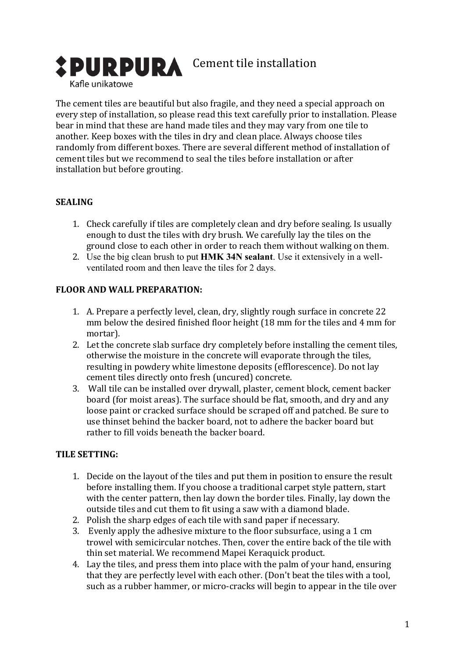

The cement tiles are beautiful but also fragile, and they need a special approach on every step of installation, so please read this text carefully prior to installation. Please bear in mind that these are hand made tiles and they may vary from one tile to another. Keep boxes with the tiles in dry and clean place. Always choose tiles randomly from different boxes. There are several different method of installation of cement tiles but we recommend to seal the tiles before installation or after installation but before grouting.

#### **SEALING**

- 1. Check carefully if tiles are completely clean and dry before sealing. Is usually enough to dust the tiles with dry brush. We carefully lay the tiles on the ground close to each other in order to reach them without walking on them.
- 2. Use the big clean brush to put **HMK 34N sealant**. Use it extensively in a wellventilated room and then leave the tiles for 2 days.

### **FLOOR AND WALL PREPARATION:**

- 1. A. Prepare a perfectly level, clean, dry, slightly rough surface in concrete 22 mm below the desired finished floor height (18 mm for the tiles and 4 mm for mortar).
- 2. Let the concrete slab surface dry completely before installing the cement tiles, otherwise the moisture in the concrete will evaporate through the tiles, resulting in powdery white limestone deposits (efflorescence). Do not lay cement tiles directly onto fresh (uncured) concrete.
- 3. Wall tile can be installed over drywall, plaster, cement block, cement backer board (for moist areas). The surface should be flat, smooth, and dry and any loose paint or cracked surface should be scraped off and patched. Be sure to use thinset behind the backer board, not to adhere the backer board but rather to fill voids beneath the backer board.

#### **TILE SETTING:**

- 1. Decide on the layout of the tiles and put them in position to ensure the result before installing them. If you choose a traditional carpet style pattern, start with the center pattern, then lay down the border tiles. Finally, lay down the outside tiles and cut them to fit using a saw with a diamond blade.
- 2. Polish the sharp edges of each tile with sand paper if necessary.
- 3. Evenly apply the adhesive mixture to the floor subsurface, using a 1 cm trowel with semicircular notches. Then, cover the entire back of the tile with thin set material. We recommend Mapei Keraquick product.
- 4. Lay the tiles, and press them into place with the palm of your hand, ensuring that they are perfectly level with each other. (Don't beat the tiles with a tool, such as a rubber hammer, or micro-cracks will begin to appear in the tile over